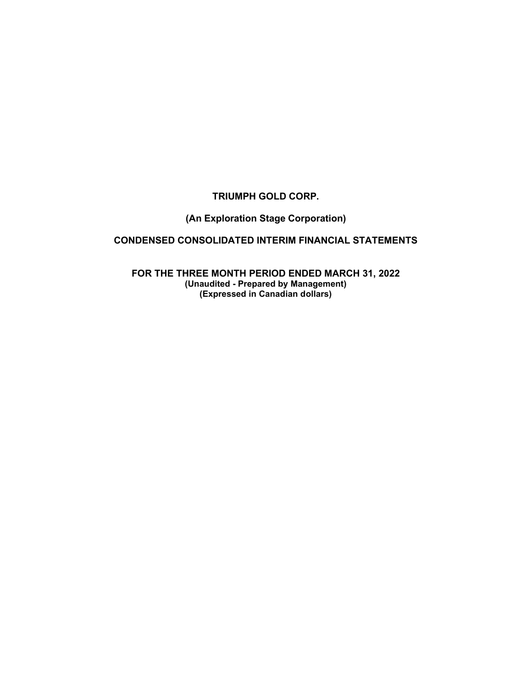# **TRIUMPH GOLD CORP.**

# **(An Exploration Stage Corporation)**

# **CONDENSED CONSOLIDATED INTERIM FINANCIAL STATEMENTS**

**FOR THE THREE MONTH PERIOD ENDED MARCH 31, 2022 (Unaudited - Prepared by Management) (Expressed in Canadian dollars)**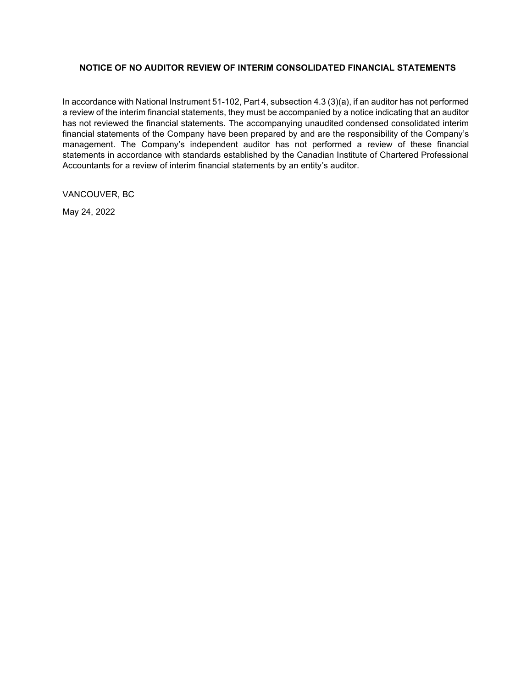## **NOTICE OF NO AUDITOR REVIEW OF INTERIM CONSOLIDATED FINANCIAL STATEMENTS**

In accordance with National Instrument 51-102, Part 4, subsection 4.3 (3)(a), if an auditor has not performed a review of the interim financial statements, they must be accompanied by a notice indicating that an auditor has not reviewed the financial statements. The accompanying unaudited condensed consolidated interim financial statements of the Company have been prepared by and are the responsibility of the Company's management. The Company's independent auditor has not performed a review of these financial statements in accordance with standards established by the Canadian Institute of Chartered Professional Accountants for a review of interim financial statements by an entity's auditor.

VANCOUVER, BC

May 24, 2022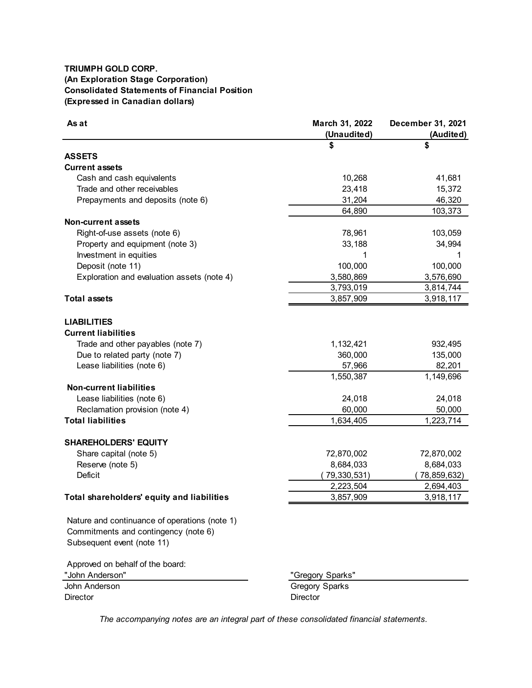## **TRIUMPH GOLD CORP. (An Exploration Stage Corporation) Consolidated Statements of Financial Position (Expressed in Canadian dollars)**

| As at                                                              | March 31, 2022   | December 31, 2021  |
|--------------------------------------------------------------------|------------------|--------------------|
|                                                                    | (Unaudited)      | (Audited)          |
|                                                                    | S                |                    |
| <b>ASSETS</b>                                                      |                  |                    |
| <b>Current assets</b>                                              |                  |                    |
| Cash and cash equivalents                                          | 10,268           | 41,681             |
| Trade and other receivables                                        | 23,418           | 15,372             |
| Prepayments and deposits (note 6)                                  | 31,204           | 46,320             |
|                                                                    | 64,890           | 103,373            |
| <b>Non-current assets</b>                                          |                  |                    |
| Right-of-use assets (note 6)                                       | 78,961           | 103,059            |
| Property and equipment (note 3)                                    | 33,188           | 34,994             |
| Investment in equities                                             | 1                |                    |
| Deposit (note 11)                                                  | 100,000          | 100,000            |
| Exploration and evaluation assets (note 4)                         | 3,580,869        | 3,576,690          |
|                                                                    | 3,793,019        | 3,814,744          |
| <b>Total assets</b>                                                | 3,857,909        | 3,918,117          |
|                                                                    |                  |                    |
| <b>LIABILITIES</b>                                                 |                  |                    |
| <b>Current liabilities</b>                                         |                  |                    |
|                                                                    |                  |                    |
| Trade and other payables (note 7)<br>Due to related party (note 7) | 1,132,421        | 932,495<br>135,000 |
|                                                                    | 360,000          |                    |
| Lease liabilities (note 6)                                         | 57,966           | 82,201             |
|                                                                    | 1,550,387        | 1,149,696          |
| <b>Non-current liabilities</b>                                     |                  |                    |
| Lease liabilities (note 6)                                         | 24,018           | 24,018             |
| Reclamation provision (note 4)                                     | 60,000           | 50,000             |
| <b>Total liabilities</b>                                           | 1,634,405        | 1,223,714          |
|                                                                    |                  |                    |
| <b>SHAREHOLDERS' EQUITY</b>                                        |                  |                    |
| Share capital (note 5)                                             | 72,870,002       | 72,870,002         |
| Reserve (note 5)                                                   | 8,684,033        | 8,684,033          |
| <b>Deficit</b>                                                     | 79,330,531)      | 78,859,632)        |
|                                                                    | 2,223,504        | 2,694,403          |
| Total shareholders' equity and liabilities                         | 3,857,909        | 3,918,117          |
|                                                                    |                  |                    |
| Nature and continuance of operations (note 1)                      |                  |                    |
| Commitments and contingency (note 6)                               |                  |                    |
| Subsequent event (note 11)                                         |                  |                    |
|                                                                    |                  |                    |
| Approved on behalf of the board:                                   |                  |                    |
| "John Anderson"                                                    | "Gregory Sparks" |                    |
| John Anderson                                                      | Gregory Sparks   |                    |
| <b>Director</b>                                                    | Director         |                    |
|                                                                    |                  |                    |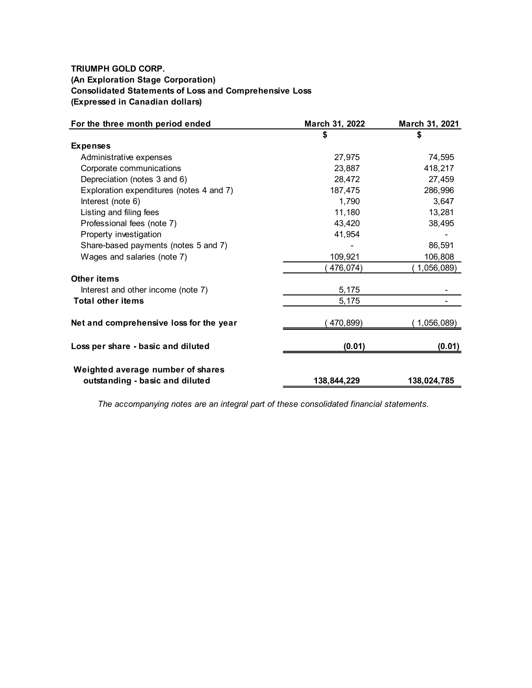# **TRIUMPH GOLD CORP. (An Exploration Stage Corporation) Consolidated Statements of Loss and Comprehensive Loss (Expressed in Canadian dollars)**

| For the three month period ended         | March 31, 2022 | March 31, 2021 |
|------------------------------------------|----------------|----------------|
|                                          | \$             | \$             |
| <b>Expenses</b>                          |                |                |
| Administrative expenses                  | 27,975         | 74,595         |
| Corporate communications                 | 23,887         | 418,217        |
| Depreciation (notes 3 and 6)             | 28,472         | 27,459         |
| Exploration expenditures (notes 4 and 7) | 187,475        | 286,996        |
| Interest (note 6)                        | 1,790          | 3,647          |
| Listing and filing fees                  | 11,180         | 13,281         |
| Professional fees (note 7)               | 43,420         | 38,495         |
| Property investigation                   | 41,954         |                |
| Share-based payments (notes 5 and 7)     |                | 86,591         |
| Wages and salaries (note 7)              | 109,921        | 106,808        |
|                                          | 476,074)       | 1,056,089)     |
| Other items                              |                |                |
| Interest and other income (note 7)       | 5,175          |                |
| <b>Total other items</b>                 | 5,175          |                |
| Net and comprehensive loss for the year  | 470,899)       | 1,056,089)     |
| Loss per share - basic and diluted       | (0.01)         | (0.01)         |
| Weighted average number of shares        |                |                |
| outstanding - basic and diluted          | 138,844,229    | 138,024,785    |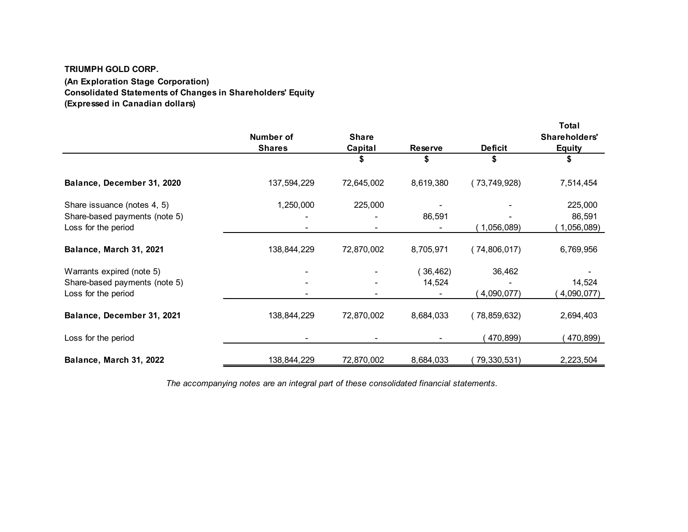# **TRIUMPH GOLD CORP. (An Exploration Stage Corporation) Consolidated Statements of Changes in Shareholders' Equity (Expressed in Canadian dollars)**

|                               | Number of     | <b>Share</b> |                |                | Total<br>Shareholders' |
|-------------------------------|---------------|--------------|----------------|----------------|------------------------|
|                               | <b>Shares</b> | Capital      | <b>Reserve</b> | <b>Deficit</b> | <b>Equity</b>          |
|                               |               |              | \$             |                |                        |
| Balance, December 31, 2020    | 137,594,229   | 72,645,002   | 8,619,380      | (73,749,928)   | 7,514,454              |
| Share issuance (notes 4, 5)   | 1,250,000     | 225,000      |                |                | 225,000                |
| Share-based payments (note 5) |               |              | 86,591         |                | 86,591                 |
| Loss for the period           |               |              |                | 1,056,089)     | 1,056,089)             |
| Balance, March 31, 2021       | 138,844,229   | 72,870,002   | 8,705,971      | (74,806,017)   | 6,769,956              |
| Warrants expired (note 5)     |               |              | 36,462)        | 36,462         |                        |
| Share-based payments (note 5) |               |              | 14,524         |                | 14,524                 |
| Loss for the period           |               |              |                | 4,090,077)     | (4,090,077)            |
| Balance, December 31, 2021    | 138,844,229   | 72,870,002   | 8,684,033      | (78, 859, 632) | 2,694,403              |
| Loss for the period           |               |              |                | 470,899)       | 470,899)               |
| Balance, March 31, 2022       | 138,844,229   | 72,870,002   | 8,684,033      | 79,330,531)    | 2,223,504              |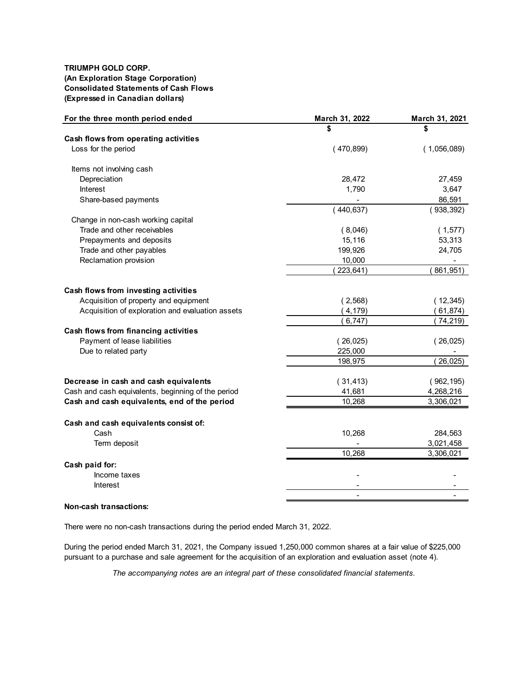### **TRIUMPH GOLD CORP. (An Exploration Stage Corporation) Consolidated Statements of Cash Flows (Expressed in Canadian dollars)**

| For the three month period ended                   | March 31, 2022 | March 31, 2021 |
|----------------------------------------------------|----------------|----------------|
|                                                    |                | \$             |
| Cash flows from operating activities               |                |                |
| Loss for the period                                | (470, 899)     | (1,056,089)    |
| Items not involving cash                           |                |                |
| Depreciation                                       | 28,472         | 27,459         |
| Interest                                           | 1,790          | 3,647          |
| Share-based payments                               |                | 86,591         |
|                                                    | 440,637)       | (938, 392)     |
| Change in non-cash working capital                 |                |                |
| Trade and other receivables                        | (8,046)        | (1,577)        |
| Prepayments and deposits                           | 15,116         | 53,313         |
| Trade and other payables                           | 199,926        | 24,705         |
| Reclamation provision                              | 10,000         |                |
|                                                    | 223,641)       | 861,951)       |
| Cash flows from investing activities               |                |                |
| Acquisition of property and equipment              | (2, 568)       | (12, 345)      |
| Acquisition of exploration and evaluation assets   | 4,179          | 61,874)        |
|                                                    | 6,747)         | 74,219)        |
| Cash flows from financing activities               |                |                |
| Payment of lease liabilities                       | (26,025)       | (26,025)       |
| Due to related party                               | 225,000        |                |
|                                                    | 198,975        | 26,025)        |
|                                                    |                |                |
| Decrease in cash and cash equivalents              | (31, 413)      | (962, 195)     |
| Cash and cash equivalents, beginning of the period | 41,681         | 4,268,216      |
| Cash and cash equivalents, end of the period       | 10,268         | 3,306,021      |
| Cash and cash equivalents consist of:              |                |                |
| Cash                                               | 10,268         | 284,563        |
| Term deposit                                       |                | 3,021,458      |
|                                                    | 10,268         | 3,306,021      |
| Cash paid for:                                     |                |                |
| Income taxes                                       |                |                |
| <b>Interest</b>                                    |                |                |
|                                                    |                |                |

#### **Non-cash transactions:**

There were no non-cash transactions during the period ended March 31, 2022.

During the period ended March 31, 2021, the Company issued 1,250,000 common shares at a fair value of \$225,000 pursuant to a purchase and sale agreement for the acquisition of an exploration and evaluation asset (note 4).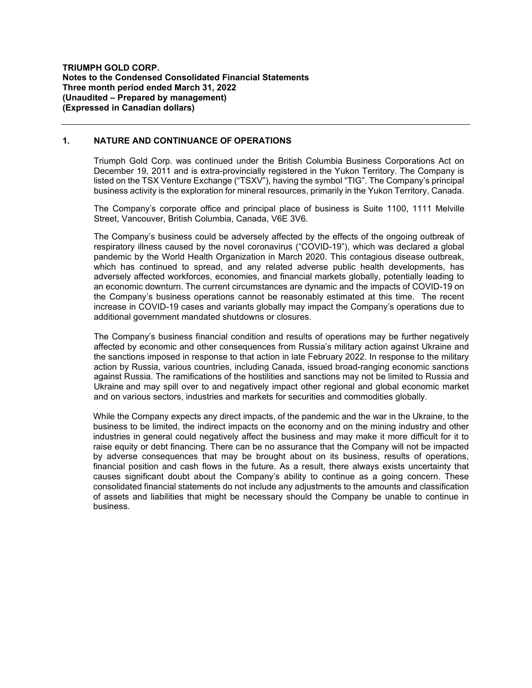### **1. NATURE AND CONTINUANCE OF OPERATIONS**

Triumph Gold Corp. was continued under the British Columbia Business Corporations Act on December 19, 2011 and is extra-provincially registered in the Yukon Territory. The Company is listed on the TSX Venture Exchange ("TSXV"), having the symbol "TIG". The Company's principal business activity is the exploration for mineral resources, primarily in the Yukon Territory, Canada.

The Company's corporate office and principal place of business is Suite 1100, 1111 Melville Street, Vancouver, British Columbia, Canada, V6E 3V6.

The Company's business could be adversely affected by the effects of the ongoing outbreak of respiratory illness caused by the novel coronavirus ("COVID-19"), which was declared a global pandemic by the World Health Organization in March 2020. This contagious disease outbreak, which has continued to spread, and any related adverse public health developments, has adversely affected workforces, economies, and financial markets globally, potentially leading to an economic downturn. The current circumstances are dynamic and the impacts of COVID-19 on the Company's business operations cannot be reasonably estimated at this time. The recent increase in COVID-19 cases and variants globally may impact the Company's operations due to additional government mandated shutdowns or closures.

The Company's business financial condition and results of operations may be further negatively affected by economic and other consequences from Russia's military action against Ukraine and the sanctions imposed in response to that action in late February 2022. In response to the military action by Russia, various countries, including Canada, issued broad-ranging economic sanctions against Russia. The ramifications of the hostilities and sanctions may not be limited to Russia and Ukraine and may spill over to and negatively impact other regional and global economic market and on various sectors, industries and markets for securities and commodities globally.

While the Company expects any direct impacts, of the pandemic and the war in the Ukraine, to the business to be limited, the indirect impacts on the economy and on the mining industry and other industries in general could negatively affect the business and may make it more difficult for it to raise equity or debt financing. There can be no assurance that the Company will not be impacted by adverse consequences that may be brought about on its business, results of operations, financial position and cash flows in the future. As a result, there always exists uncertainty that causes significant doubt about the Company's ability to continue as a going concern. These consolidated financial statements do not include any adjustments to the amounts and classification of assets and liabilities that might be necessary should the Company be unable to continue in business.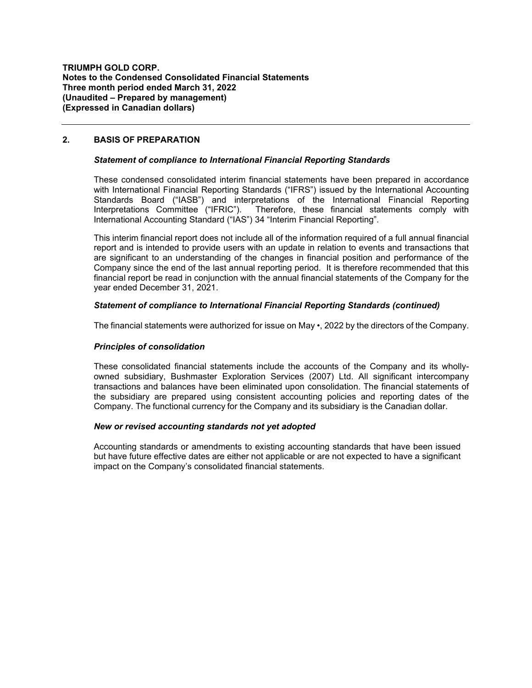### **2. BASIS OF PREPARATION**

### *Statement of compliance to International Financial Reporting Standards*

These condensed consolidated interim financial statements have been prepared in accordance with International Financial Reporting Standards ("IFRS") issued by the International Accounting Standards Board ("IASB") and interpretations of the International Financial Reporting<br>Interpretations Committee ("IFRIC"). Therefore, these financial statements comply with Therefore, these financial statements comply with International Accounting Standard ("IAS") 34 "Interim Financial Reporting".

This interim financial report does not include all of the information required of a full annual financial report and is intended to provide users with an update in relation to events and transactions that are significant to an understanding of the changes in financial position and performance of the Company since the end of the last annual reporting period. It is therefore recommended that this financial report be read in conjunction with the annual financial statements of the Company for the year ended December 31, 2021.

### *Statement of compliance to International Financial Reporting Standards (continued)*

The financial statements were authorized for issue on May •, 2022 by the directors of the Company.

### *Principles of consolidation*

These consolidated financial statements include the accounts of the Company and its whollyowned subsidiary, Bushmaster Exploration Services (2007) Ltd. All significant intercompany transactions and balances have been eliminated upon consolidation. The financial statements of the subsidiary are prepared using consistent accounting policies and reporting dates of the Company. The functional currency for the Company and its subsidiary is the Canadian dollar.

### *New or revised accounting standards not yet adopted*

Accounting standards or amendments to existing accounting standards that have been issued but have future effective dates are either not applicable or are not expected to have a significant impact on the Company's consolidated financial statements.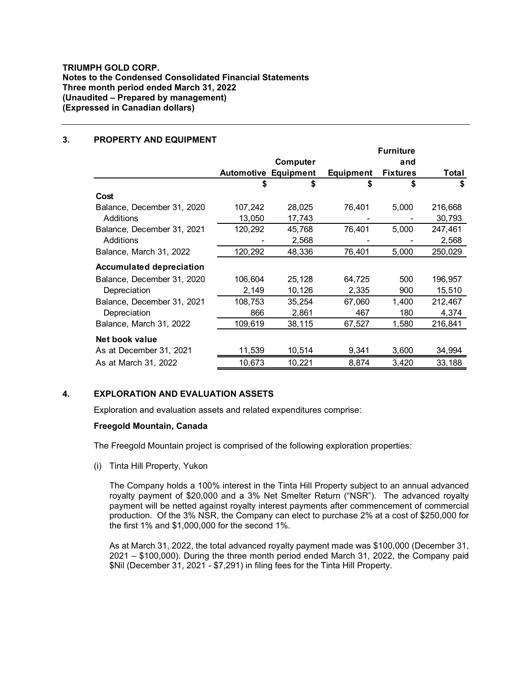### **3. PROPERTY AND EQUIPMENT**

|                                 |         |                             |                  | <b>Furniture</b> |         |
|---------------------------------|---------|-----------------------------|------------------|------------------|---------|
|                                 |         | Computer                    |                  | and              |         |
|                                 |         | <b>Automotive Equipment</b> | <b>Equipment</b> | <b>Fixtures</b>  | Total   |
|                                 | \$      | \$                          | S                | \$               | \$      |
| Cost                            |         |                             |                  |                  |         |
| Balance, December 31, 2020      | 107,242 | 28,025                      | 76,401           | 5,000            | 216,668 |
| Additions                       | 13,050  | 17,743                      |                  |                  | 30,793  |
| Balance, December 31, 2021      | 120,292 | 45,768                      | 76,401           | 5,000            | 247,461 |
| Additions                       |         | 2,568                       |                  |                  | 2,568   |
| Balance, March 31, 2022         | 120,292 | 48,336                      | 76,401           | 5,000            | 250,029 |
| <b>Accumulated depreciation</b> |         |                             |                  |                  |         |
| Balance, December 31, 2020      | 106,604 | 25,128                      | 64,725           | 500              | 196,957 |
| Depreciation                    | 2,149   | 10,126                      | 2,335            | 900              | 15,510  |
| Balance, December 31, 2021      | 108,753 | 35,254                      | 67,060           | 1,400            | 212,467 |
| Depreciation                    | 866     | 2,861                       | 467              | 180              | 4,374   |
| Balance, March 31, 2022         | 109,619 | 38,115                      | 67,527           | 1,580            | 216,841 |
| Net book value                  |         |                             |                  |                  |         |
| As at December 31, 2021         | 11,539  | 10,514                      | 9,341            | 3,600            | 34,994  |
| As at March 31, 2022            | 10,673  | 10,221                      | 8,874            | 3,420            | 33,188  |

### **4. EXPLORATION AND EVALUATION ASSETS**

Exploration and evaluation assets and related expenditures comprise:

## **Freegold Mountain, Canada**

The Freegold Mountain project is comprised of the following exploration properties:

(i) Tinta Hill Property, Yukon

The Company holds a 100% interest in the Tinta Hill Property subject to an annual advanced royalty payment of \$20,000 and a 3% Net Smelter Return ("NSR"). The advanced royalty payment will be netted against royalty interest payments after commencement of commercial production. Of the 3% NSR, the Company can elect to purchase 2% at a cost of \$250,000 for the first 1% and \$1,000,000 for the second 1%.

As at March 31, 2022, the total advanced royalty payment made was \$100,000 (December 31, 2021 – \$100,000). During the three month period ended March 31, 2022, the Company paid \$Nil (December 31, 2021 - \$7,291) in filing fees for the Tinta Hill Property.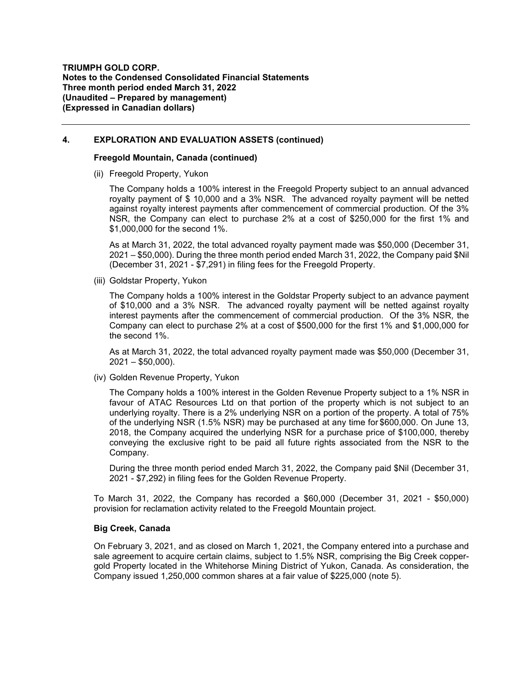### **4. EXPLORATION AND EVALUATION ASSETS (continued)**

#### **Freegold Mountain, Canada (continued)**

(ii) Freegold Property, Yukon

The Company holds a 100% interest in the Freegold Property subject to an annual advanced royalty payment of \$ 10,000 and a 3% NSR. The advanced royalty payment will be netted against royalty interest payments after commencement of commercial production. Of the 3% NSR, the Company can elect to purchase 2% at a cost of \$250,000 for the first 1% and \$1,000,000 for the second 1%.

As at March 31, 2022, the total advanced royalty payment made was \$50,000 (December 31, 2021 – \$50,000). During the three month period ended March 31, 2022, the Company paid \$Nil (December 31, 2021 - \$7,291) in filing fees for the Freegold Property.

(iii) Goldstar Property, Yukon

The Company holds a 100% interest in the Goldstar Property subject to an advance payment of \$10,000 and a 3% NSR. The advanced royalty payment will be netted against royalty interest payments after the commencement of commercial production. Of the 3% NSR, the Company can elect to purchase 2% at a cost of \$500,000 for the first 1% and \$1,000,000 for the second 1%.

As at March 31, 2022, the total advanced royalty payment made was \$50,000 (December 31,  $2021 - $50,000$ ).

(iv) Golden Revenue Property, Yukon

The Company holds a 100% interest in the Golden Revenue Property subject to a 1% NSR in favour of ATAC Resources Ltd on that portion of the property which is not subject to an underlying royalty. There is a 2% underlying NSR on a portion of the property. A total of 75% of the underlying NSR (1.5% NSR) may be purchased at any time for \$600,000. On June 13, 2018, the Company acquired the underlying NSR for a purchase price of \$100,000, thereby conveying the exclusive right to be paid all future rights associated from the NSR to the Company.

During the three month period ended March 31, 2022, the Company paid \$Nil (December 31, 2021 - \$7,292) in filing fees for the Golden Revenue Property.

To March 31, 2022, the Company has recorded a \$60,000 (December 31, 2021 - \$50,000) provision for reclamation activity related to the Freegold Mountain project.

### **Big Creek, Canada**

On February 3, 2021, and as closed on March 1, 2021, the Company entered into a purchase and sale agreement to acquire certain claims, subject to 1.5% NSR, comprising the Big Creek coppergold Property located in the Whitehorse Mining District of Yukon, Canada. As consideration, the Company issued 1,250,000 common shares at a fair value of \$225,000 (note 5).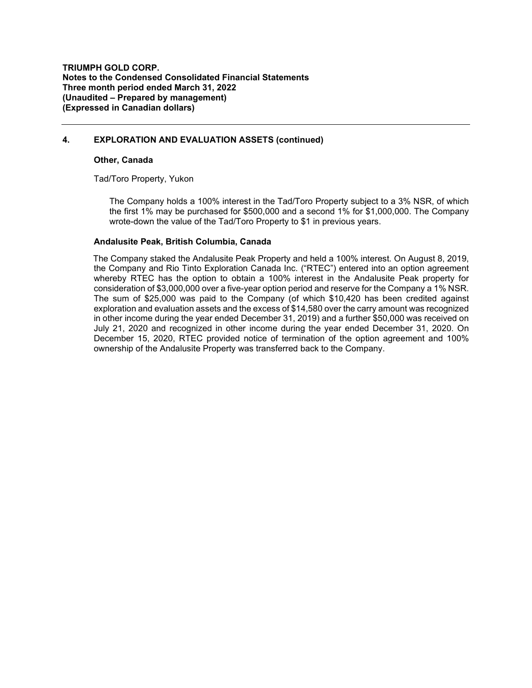## **4. EXPLORATION AND EVALUATION ASSETS (continued)**

#### **Other, Canada**

Tad/Toro Property, Yukon

The Company holds a 100% interest in the Tad/Toro Property subject to a 3% NSR, of which the first 1% may be purchased for \$500,000 and a second 1% for \$1,000,000. The Company wrote-down the value of the Tad/Toro Property to \$1 in previous years.

### **Andalusite Peak, British Columbia, Canada**

The Company staked the Andalusite Peak Property and held a 100% interest. On August 8, 2019, the Company and Rio Tinto Exploration Canada Inc. ("RTEC") entered into an option agreement whereby RTEC has the option to obtain a 100% interest in the Andalusite Peak property for consideration of \$3,000,000 over a five-year option period and reserve for the Company a 1% NSR. The sum of \$25,000 was paid to the Company (of which \$10,420 has been credited against exploration and evaluation assets and the excess of \$14,580 over the carry amount was recognized in other income during the year ended December 31, 2019) and a further \$50,000 was received on July 21, 2020 and recognized in other income during the year ended December 31, 2020. On December 15, 2020, RTEC provided notice of termination of the option agreement and 100% ownership of the Andalusite Property was transferred back to the Company.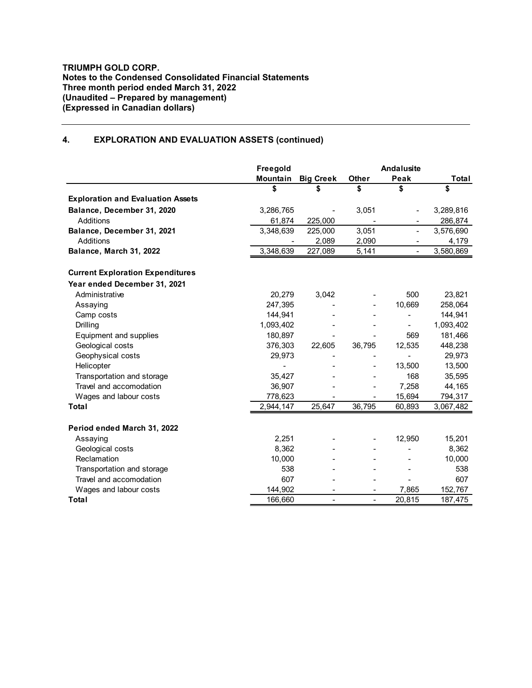# **4. EXPLORATION AND EVALUATION ASSETS (continued)**

|                                          | <b>Freegold</b> |                  |                          | <b>Andalusite</b>            |           |
|------------------------------------------|-----------------|------------------|--------------------------|------------------------------|-----------|
|                                          | Mountain        | <b>Big Creek</b> | Other                    | Peak                         | Total     |
|                                          | S               | \$               | \$                       | \$                           | \$        |
| <b>Exploration and Evaluation Assets</b> |                 |                  |                          |                              |           |
| Balance, December 31, 2020               | 3,286,765       |                  | 3,051                    | $\qquad \qquad \blacksquare$ | 3,289,816 |
| Additions                                | 61,874          | 225,000          |                          |                              | 286,874   |
| Balance, December 31, 2021               | 3,348,639       | 225,000          | 3,051                    | $\overline{\phantom{a}}$     | 3,576,690 |
| Additions                                |                 | 2,089            | 2,090                    |                              | 4,179     |
| Balance, March 31, 2022                  | 3,348,639       | 227,089          | 5,141                    | $\overline{\phantom{a}}$     | 3,580,869 |
| <b>Current Exploration Expenditures</b>  |                 |                  |                          |                              |           |
| Year ended December 31, 2021             |                 |                  |                          |                              |           |
| Administrative                           | 20,279          | 3,042            |                          | 500                          | 23,821    |
| Assaying                                 | 247,395         |                  |                          | 10,669                       | 258,064   |
| Camp costs                               | 144,941         |                  |                          |                              | 144,941   |
| Drilling                                 | 1,093,402       |                  |                          | $\blacksquare$               | 1,093,402 |
| Equipment and supplies                   | 180,897         |                  |                          | 569                          | 181,466   |
| Geological costs                         | 376,303         | 22,605           | 36,795                   | 12,535                       | 448,238   |
| Geophysical costs                        | 29,973          |                  |                          |                              | 29,973    |
| Helicopter                               |                 |                  |                          | 13,500                       | 13,500    |
| Transportation and storage               | 35,427          |                  |                          | 168                          | 35,595    |
| Travel and accomodation                  | 36,907          |                  |                          | 7,258                        | 44,165    |
| Wages and labour costs                   | 778,623         |                  |                          | 15,694                       | 794,317   |
| Total                                    | 2,944,147       | 25,647           | 36,795                   | 60,893                       | 3,067,482 |
| Period ended March 31, 2022              |                 |                  |                          |                              |           |
| Assaying                                 | 2,251           |                  |                          | 12,950                       | 15,201    |
| Geological costs                         | 8,362           |                  |                          |                              | 8,362     |
| Reclamation                              | 10,000          |                  |                          |                              | 10,000    |
| Transportation and storage               | 538             |                  |                          |                              | 538       |
| Travel and accomodation                  | 607             |                  |                          |                              | 607       |
| Wages and labour costs                   | 144,902         |                  |                          | 7,865                        | 152,767   |
| Total                                    | 166,660         | $\blacksquare$   | $\overline{\phantom{0}}$ | 20,815                       | 187,475   |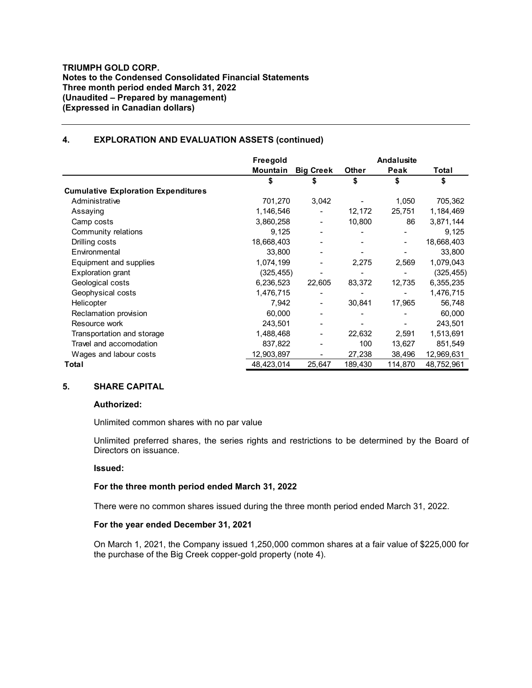### **TRIUMPH GOLD CORP. Notes to the Condensed Consolidated Financial Statements Three month period ended March 31, 2022 (Unaudited – Prepared by management) (Expressed in Canadian dollars)**

### **4. EXPLORATION AND EVALUATION ASSETS (continued)**

|                                            | Freegold                     | <b>Andalusite</b>            |              |               |            |
|--------------------------------------------|------------------------------|------------------------------|--------------|---------------|------------|
|                                            | <b>Big Creek</b><br>Mountain |                              | <b>Other</b> | Peak<br>Total |            |
|                                            | \$                           | \$                           | \$           | \$            | \$         |
| <b>Cumulative Exploration Expenditures</b> |                              |                              |              |               |            |
| Administrative                             | 701,270                      | 3,042                        |              | 1,050         | 705,362    |
| Assaying                                   | 1,146,546                    | $\overline{\phantom{0}}$     | 12,172       | 25,751        | 1,184,469  |
| Camp costs                                 | 3,860,258                    | $\overline{\phantom{a}}$     | 10,800       | 86            | 3,871,144  |
| Community relations                        | 9,125                        | $\overline{\phantom{a}}$     |              |               | 9,125      |
| Drilling costs                             | 18,668,403                   | $\overline{\phantom{a}}$     |              |               | 18,668,403 |
| Environmental                              | 33,800                       |                              |              |               | 33,800     |
| Equipment and supplies                     | 1,074,199                    |                              | 2,275        | 2,569         | 1,079,043  |
| <b>Exploration grant</b>                   | (325,455)                    |                              |              |               | (325, 455) |
| Geological costs                           | 6,236,523                    | 22,605                       | 83,372       | 12,735        | 6,355,235  |
| Geophysical costs                          | 1,476,715                    |                              |              |               | 1,476,715  |
| Helicopter                                 | 7,942                        | $\blacksquare$               | 30,841       | 17,965        | 56,748     |
| Reclamation provision                      | 60,000                       |                              |              |               | 60,000     |
| Resource work                              | 243,501                      |                              |              |               | 243,501    |
| Transportation and storage                 | 1,488,468                    | $\qquad \qquad \blacksquare$ | 22,632       | 2,591         | 1,513,691  |
| Travel and accomodation                    | 837,822                      |                              | 100          | 13,627        | 851,549    |
| Wages and labour costs                     | 12,903,897                   |                              | 27,238       | 38,496        | 12,969,631 |
| Total                                      | 48,423,014                   | 25,647                       | 189,430      | 114,870       | 48,752,961 |

### **5. SHARE CAPITAL**

#### **Authorized:**

Unlimited common shares with no par value

Unlimited preferred shares, the series rights and restrictions to be determined by the Board of Directors on issuance.

### **Issued:**

#### **For the three month period ended March 31, 2022**

There were no common shares issued during the three month period ended March 31, 2022.

#### **For the year ended December 31, 2021**

On March 1, 2021, the Company issued 1,250,000 common shares at a fair value of \$225,000 for the purchase of the Big Creek copper-gold property (note 4).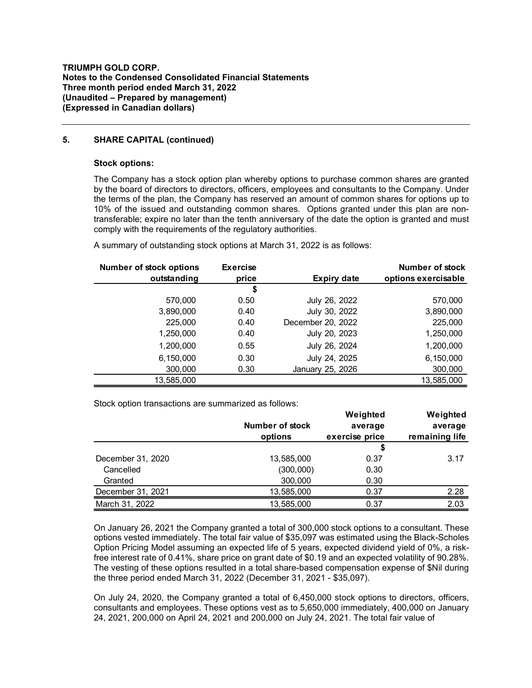### **5. SHARE CAPITAL (continued)**

#### **Stock options:**

The Company has a stock option plan whereby options to purchase common shares are granted by the board of directors to directors, officers, employees and consultants to the Company. Under the terms of the plan, the Company has reserved an amount of common shares for options up to 10% of the issued and outstanding common shares. Options granted under this plan are nontransferable; expire no later than the tenth anniversary of the date the option is granted and must comply with the requirements of the regulatory authorities.

| <b>Number of stock options</b> | <b>Exercise</b> |                    | Number of stock     |
|--------------------------------|-----------------|--------------------|---------------------|
| outstanding                    | price           | <b>Expiry date</b> | options exercisable |
|                                | \$              |                    |                     |
| 570.000                        | 0.50            | July 26, 2022      | 570,000             |
| 3,890,000                      | 0.40            | July 30, 2022      | 3,890,000           |
| 225,000                        | 0.40            | December 20, 2022  | 225,000             |
| 1,250,000                      | 0.40            | July 20, 2023      | 1,250,000           |
| 1,200,000                      | 0.55            | July 26, 2024      | 1,200,000           |
| 6,150,000                      | 0.30            | July 24, 2025      | 6,150,000           |
| 300,000                        | 0.30            | January 25, 2026   | 300,000             |
| 13,585,000                     |                 |                    | 13,585,000          |

A summary of outstanding stock options at March 31, 2022 is as follows:

Stock option transactions are summarized as follows:

|                   |                 | Weighted       | Weighted       |
|-------------------|-----------------|----------------|----------------|
|                   | Number of stock | average        | average        |
|                   | options         | exercise price | remaining life |
|                   |                 | \$             |                |
| December 31, 2020 | 13,585,000      | 0.37           | 3.17           |
| Cancelled         | (300,000)       | 0.30           |                |
| Granted           | 300,000         | 0.30           |                |
| December 31, 2021 | 13,585,000      | 0.37           | 2.28           |
| March 31, 2022    | 13,585,000      | 0.37           | 2.03           |

On January 26, 2021 the Company granted a total of 300,000 stock options to a consultant. These options vested immediately. The total fair value of \$35,097 was estimated using the Black-Scholes Option Pricing Model assuming an expected life of 5 years, expected dividend yield of 0%, a riskfree interest rate of 0.41%, share price on grant date of \$0.19 and an expected volatility of 90.28%. The vesting of these options resulted in a total share-based compensation expense of \$Nil during the three period ended March 31, 2022 (December 31, 2021 - \$35,097).

On July 24, 2020, the Company granted a total of 6,450,000 stock options to directors, officers, consultants and employees. These options vest as to 5,650,000 immediately, 400,000 on January 24, 2021, 200,000 on April 24, 2021 and 200,000 on July 24, 2021. The total fair value of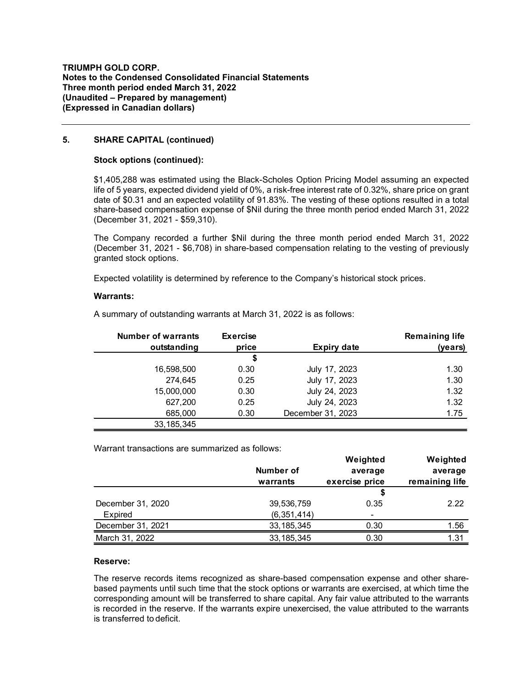### **5. SHARE CAPITAL (continued)**

#### **Stock options (continued):**

\$1,405,288 was estimated using the Black-Scholes Option Pricing Model assuming an expected life of 5 years, expected dividend yield of 0%, a risk-free interest rate of 0.32%, share price on grant date of \$0.31 and an expected volatility of 91.83%. The vesting of these options resulted in a total share-based compensation expense of \$Nil during the three month period ended March 31, 2022 (December 31, 2021 - \$59,310).

The Company recorded a further \$Nil during the three month period ended March 31, 2022 (December 31, 2021 - \$6,708) in share-based compensation relating to the vesting of previously granted stock options.

Expected volatility is determined by reference to the Company's historical stock prices.

#### **Warrants:**

| <b>Number of warrants</b> | <b>Exercise</b> |                    | <b>Remaining life</b> |
|---------------------------|-----------------|--------------------|-----------------------|
| outstanding               | price           | <b>Expiry date</b> | (years)               |
|                           | \$              |                    |                       |
| 16,598,500                | 0.30            | July 17, 2023      | 1.30                  |
| 274,645                   | 0.25            | July 17, 2023      | 1.30                  |
| 15,000,000                | 0.30            | July 24, 2023      | 1.32                  |
| 627,200                   | 0.25            | July 24, 2023      | 1.32                  |
| 685,000                   | 0.30            | December 31, 2023  | 1.75                  |
| 33, 185, 345              |                 |                    |                       |

A summary of outstanding warrants at March 31, 2022 is as follows:

Warrant transactions are summarized as follows:

|                   |               | Weighted       | Weighted       |
|-------------------|---------------|----------------|----------------|
|                   | Number of     | average        | average        |
|                   | warrants      | exercise price | remaining life |
|                   |               | \$             |                |
| December 31, 2020 | 39,536,759    | 0.35           | 2.22           |
| Expired           | (6, 351, 414) | ٠              |                |
| December 31, 2021 | 33, 185, 345  | 0.30           | 1.56           |
| March 31, 2022    | 33, 185, 345  | 0.30           | 1.31           |

### **Reserve:**

The reserve records items recognized as share-based compensation expense and other sharebased payments until such time that the stock options or warrants are exercised, at which time the corresponding amount will be transferred to share capital. Any fair value attributed to the warrants is recorded in the reserve. If the warrants expire unexercised, the value attributed to the warrants is transferred to deficit.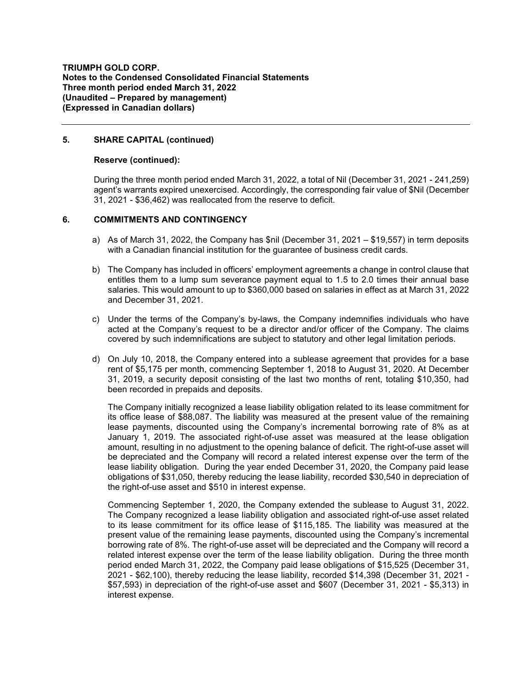**TRIUMPH GOLD CORP. Notes to the Condensed Consolidated Financial Statements Three month period ended March 31, 2022 (Unaudited – Prepared by management) (Expressed in Canadian dollars)**

### **5. SHARE CAPITAL (continued)**

#### **Reserve (continued):**

During the three month period ended March 31, 2022, a total of Nil (December 31, 2021 - 241,259) agent's warrants expired unexercised. Accordingly, the corresponding fair value of \$Nil (December 31, 2021 - \$36,462) was reallocated from the reserve to deficit.

### **6. COMMITMENTS AND CONTINGENCY**

- a) As of March 31, 2022, the Company has \$nil (December 31, 2021 \$19,557) in term deposits with a Canadian financial institution for the guarantee of business credit cards.
- b) The Company has included in officers' employment agreements a change in control clause that entitles them to a lump sum severance payment equal to 1.5 to 2.0 times their annual base salaries. This would amount to up to \$360,000 based on salaries in effect as at March 31, 2022 and December 31, 2021.
- c) Under the terms of the Company's by-laws, the Company indemnifies individuals who have acted at the Company's request to be a director and/or officer of the Company. The claims covered by such indemnifications are subject to statutory and other legal limitation periods.
- d) On July 10, 2018, the Company entered into a sublease agreement that provides for a base rent of \$5,175 per month, commencing September 1, 2018 to August 31, 2020. At December 31, 2019, a security deposit consisting of the last two months of rent, totaling \$10,350, had been recorded in prepaids and deposits.

The Company initially recognized a lease liability obligation related to its lease commitment for its office lease of \$88,087. The liability was measured at the present value of the remaining lease payments, discounted using the Company's incremental borrowing rate of 8% as at January 1, 2019. The associated right-of-use asset was measured at the lease obligation amount, resulting in no adjustment to the opening balance of deficit. The right-of-use asset will be depreciated and the Company will record a related interest expense over the term of the lease liability obligation. During the year ended December 31, 2020, the Company paid lease obligations of \$31,050, thereby reducing the lease liability, recorded \$30,540 in depreciation of the right-of-use asset and \$510 in interest expense.

Commencing September 1, 2020, the Company extended the sublease to August 31, 2022. The Company recognized a lease liability obligation and associated right-of-use asset related to its lease commitment for its office lease of \$115,185. The liability was measured at the present value of the remaining lease payments, discounted using the Company's incremental borrowing rate of 8%. The right-of-use asset will be depreciated and the Company will record a related interest expense over the term of the lease liability obligation. During the three month period ended March 31, 2022, the Company paid lease obligations of \$15,525 (December 31, 2021 - \$62,100), thereby reducing the lease liability, recorded \$14,398 (December 31, 2021 - \$57,593) in depreciation of the right-of-use asset and \$607 (December 31, 2021 - \$5,313) in interest expense.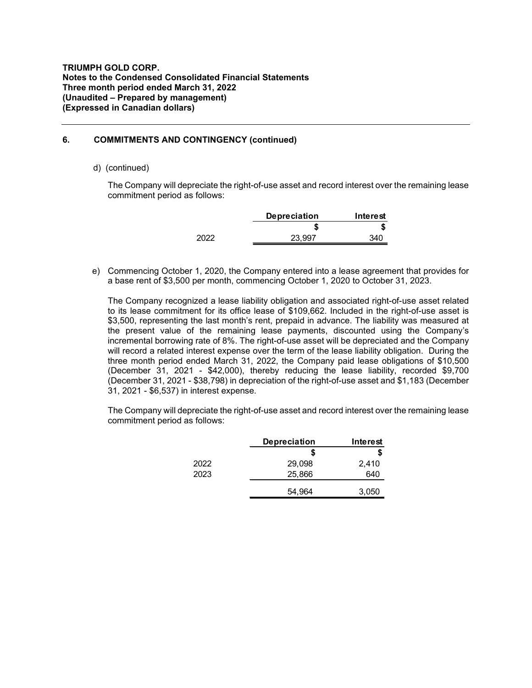## **6. COMMITMENTS AND CONTINGENCY (continued)**

### d) (continued)

The Company will depreciate the right-of-use asset and record interest over the remaining lease commitment period as follows:

|      | <b>Depreciation</b> | Interest |
|------|---------------------|----------|
|      |                     |          |
| 2022 | 23.997              | 340      |

e) Commencing October 1, 2020, the Company entered into a lease agreement that provides for a base rent of \$3,500 per month, commencing October 1, 2020 to October 31, 2023.

The Company recognized a lease liability obligation and associated right-of-use asset related to its lease commitment for its office lease of \$109,662. Included in the right-of-use asset is \$3,500, representing the last month's rent, prepaid in advance. The liability was measured at the present value of the remaining lease payments, discounted using the Company's incremental borrowing rate of 8%. The right-of-use asset will be depreciated and the Company will record a related interest expense over the term of the lease liability obligation. During the three month period ended March 31, 2022, the Company paid lease obligations of \$10,500 (December 31, 2021 - \$42,000), thereby reducing the lease liability, recorded \$9,700 (December 31, 2021 - \$38,798) in depreciation of the right-of-use asset and \$1,183 (December 31, 2021 - \$6,537) in interest expense.

The Company will depreciate the right-of-use asset and record interest over the remaining lease commitment period as follows:

|      | <b>Depreciation</b> | Interest |
|------|---------------------|----------|
|      | S                   | S        |
| 2022 | 29,098              | 2,410    |
| 2023 | 25,866              | 640      |
|      | 54,964              | 3,050    |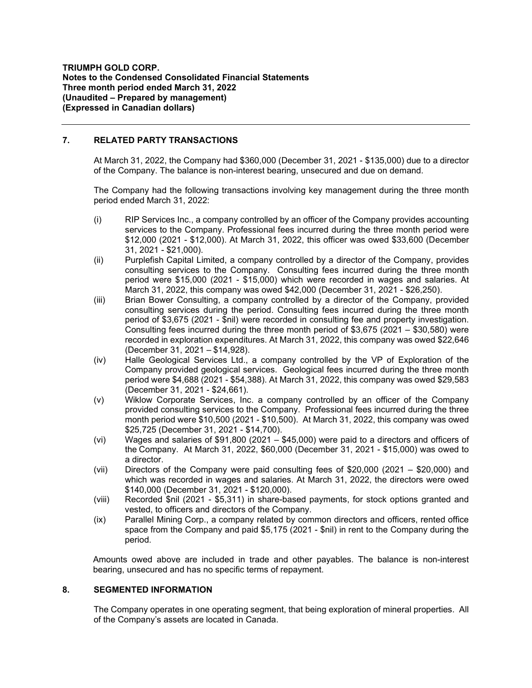### **7. RELATED PARTY TRANSACTIONS**

At March 31, 2022, the Company had \$360,000 (December 31, 2021 - \$135,000) due to a director of the Company. The balance is non-interest bearing, unsecured and due on demand.

The Company had the following transactions involving key management during the three month period ended March 31, 2022:

- (i) RIP Services Inc., a company controlled by an officer of the Company provides accounting services to the Company. Professional fees incurred during the three month period were \$12,000 (2021 - \$12,000). At March 31, 2022, this officer was owed \$33,600 (December 31, 2021 - \$21,000).
- (ii) Purplefish Capital Limited, a company controlled by a director of the Company, provides consulting services to the Company. Consulting fees incurred during the three month period were \$15,000 (2021 - \$15,000) which were recorded in wages and salaries. At March 31, 2022, this company was owed \$42,000 (December 31, 2021 - \$26,250).
- (iii) Brian Bower Consulting, a company controlled by a director of the Company, provided consulting services during the period. Consulting fees incurred during the three month period of \$3,675 (2021 - \$nil) were recorded in consulting fee and property investigation. Consulting fees incurred during the three month period of \$3,675 (2021 – \$30,580) were recorded in exploration expenditures. At March 31, 2022, this company was owed \$22,646 (December 31, 2021 – \$14,928).
- (iv) Halle Geological Services Ltd., a company controlled by the VP of Exploration of the Company provided geological services. Geological fees incurred during the three month period were \$4,688 (2021 - \$54,388). At March 31, 2022, this company was owed \$29,583 (December 31, 2021 - \$24,661).
- (v) Wiklow Corporate Services, Inc. a company controlled by an officer of the Company provided consulting services to the Company. Professional fees incurred during the three month period were \$10,500 (2021 - \$10,500). At March 31, 2022, this company was owed \$25,725 (December 31, 2021 - \$14,700).
- (vi) Wages and salaries of \$91,800 (2021  $-$  \$45,000) were paid to a directors and officers of the Company. At March 31, 2022, \$60,000 (December 31, 2021 - \$15,000) was owed to a director.
- (vii) Directors of the Company were paid consulting fees of \$20,000 (2021 \$20,000) and which was recorded in wages and salaries. At March 31, 2022, the directors were owed \$140,000 (December 31, 2021 - \$120,000).
- (viii) Recorded \$nil (2021 \$5,311) in share-based payments, for stock options granted and vested, to officers and directors of the Company.
- (ix) Parallel Mining Corp., a company related by common directors and officers, rented office space from the Company and paid \$5,175 (2021 - \$nil) in rent to the Company during the period.

Amounts owed above are included in trade and other payables. The balance is non-interest bearing, unsecured and has no specific terms of repayment.

### **8. SEGMENTED INFORMATION**

The Company operates in one operating segment, that being exploration of mineral properties. All of the Company's assets are located in Canada.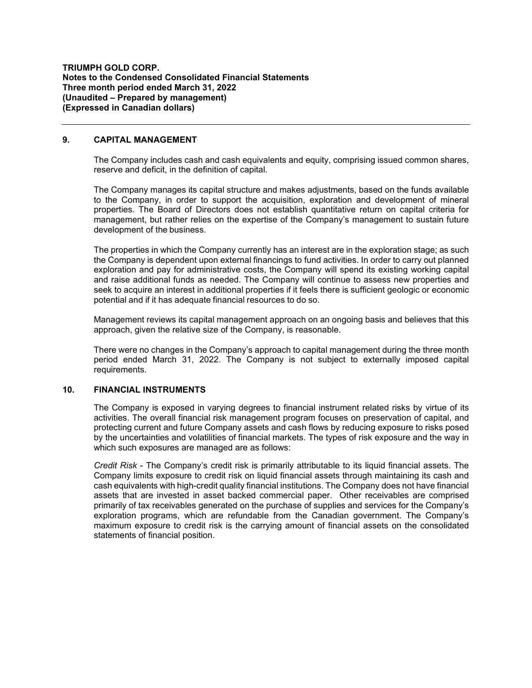### **9. CAPITAL MANAGEMENT**

The Company includes cash and cash equivalents and equity, comprising issued common shares, reserve and deficit, in the definition of capital.

The Company manages its capital structure and makes adjustments, based on the funds available to the Company, in order to support the acquisition, exploration and development of mineral properties. The Board of Directors does not establish quantitative return on capital criteria for management, but rather relies on the expertise of the Company's management to sustain future development of the business.

The properties in which the Company currently has an interest are in the exploration stage; as such the Company is dependent upon external financings to fund activities. In order to carry out planned exploration and pay for administrative costs, the Company will spend its existing working capital and raise additional funds as needed. The Company will continue to assess new properties and seek to acquire an interest in additional properties if it feels there is sufficient geologic or economic potential and if it has adequate financial resources to do so.

Management reviews its capital management approach on an ongoing basis and believes that this approach, given the relative size of the Company, is reasonable.

There were no changes in the Company's approach to capital management during the three month period ended March 31, 2022. The Company is not subject to externally imposed capital requirements.

### **10. FINANCIAL INSTRUMENTS**

The Company is exposed in varying degrees to financial instrument related risks by virtue of its activities. The overall financial risk management program focuses on preservation of capital, and protecting current and future Company assets and cash flows by reducing exposure to risks posed by the uncertainties and volatilities of financial markets. The types of risk exposure and the way in which such exposures are managed are as follows:

*Credit Risk* - The Company's credit risk is primarily attributable to its liquid financial assets. The Company limits exposure to credit risk on liquid financial assets through maintaining its cash and cash equivalents with high-credit quality financial institutions. The Company does not have financial assets that are invested in asset backed commercial paper. Other receivables are comprised primarily of tax receivables generated on the purchase of supplies and services for the Company's exploration programs, which are refundable from the Canadian government. The Company's maximum exposure to credit risk is the carrying amount of financial assets on the consolidated statements of financial position.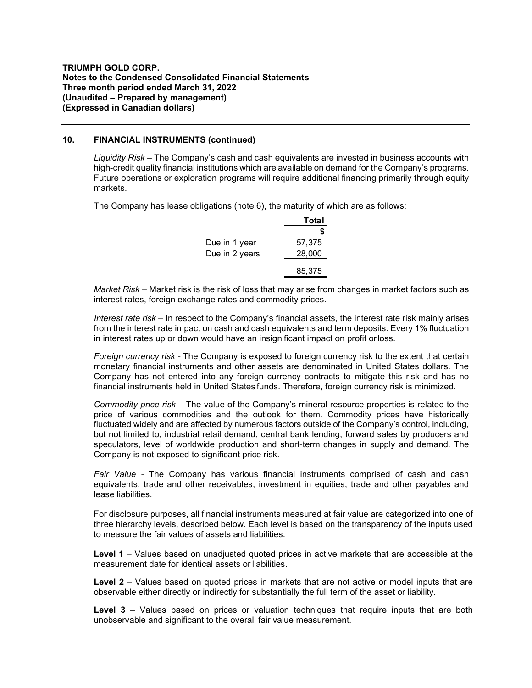#### **10. FINANCIAL INSTRUMENTS (continued)**

*Liquidity Risk –* The Company's cash and cash equivalents are invested in business accounts with high-credit quality financial institutions which are available on demand for the Company's programs. Future operations or exploration programs will require additional financing primarily through equity markets.

The Company has lease obligations (note 6), the maturity of which are as follows:

|                | Total  |
|----------------|--------|
|                | S      |
| Due in 1 year  | 57,375 |
| Due in 2 years | 28,000 |
|                | 85,375 |

*Market Risk –* Market risk is the risk of loss that may arise from changes in market factors such as interest rates, foreign exchange rates and commodity prices.

*Interest rate risk* – In respect to the Company's financial assets, the interest rate risk mainly arises from the interest rate impact on cash and cash equivalents and term deposits. Every 1% fluctuation in interest rates up or down would have an insignificant impact on profit orloss.

*Foreign currency risk -* The Company is exposed to foreign currency risk to the extent that certain monetary financial instruments and other assets are denominated in United States dollars. The Company has not entered into any foreign currency contracts to mitigate this risk and has no financial instruments held in United States funds. Therefore, foreign currency risk is minimized.

*Commodity price risk –* The value of the Company's mineral resource properties is related to the price of various commodities and the outlook for them. Commodity prices have historically fluctuated widely and are affected by numerous factors outside of the Company's control, including, but not limited to, industrial retail demand, central bank lending, forward sales by producers and speculators, level of worldwide production and short-term changes in supply and demand. The Company is not exposed to significant price risk.

*Fair Value -* The Company has various financial instruments comprised of cash and cash equivalents, trade and other receivables, investment in equities, trade and other payables and lease liabilities.

For disclosure purposes, all financial instruments measured at fair value are categorized into one of three hierarchy levels, described below. Each level is based on the transparency of the inputs used to measure the fair values of assets and liabilities.

**Level 1** – Values based on unadjusted quoted prices in active markets that are accessible at the measurement date for identical assets or liabilities.

Level 2 – Values based on quoted prices in markets that are not active or model inputs that are observable either directly or indirectly for substantially the full term of the asset or liability.

**Level 3** – Values based on prices or valuation techniques that require inputs that are both unobservable and significant to the overall fair value measurement.